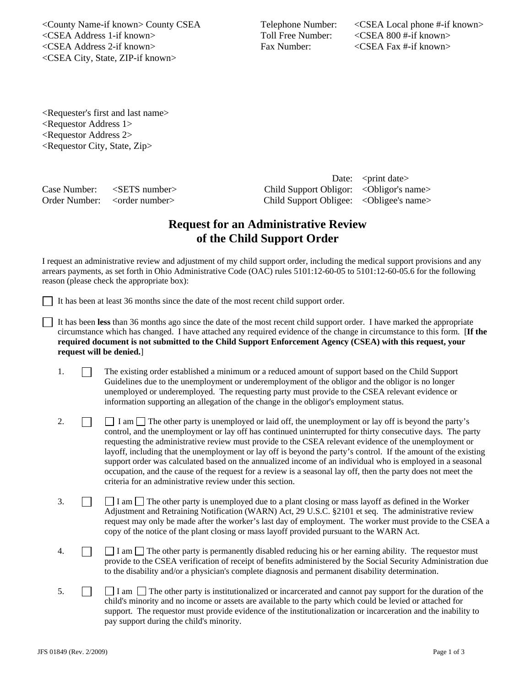<County Name-if known> County CSEA Telephone Number: <CSEA Local phone #-if known> <CSEA Address 1-if known> Toll Free Number: <CSEA 800 #-if known> <CSEA Address 2-if known> Fax Number: <CSEA Fax #-if known> <CSEA City, State, ZIP-if known>

<Requester's first and last name> <Requestor Address 1> <Requestor Address 2> <Requestor City, State, Zip>

Date: <print date> Case Number: <SETS number> Child Support Obligor: <Obligor's name> Order Number: <order number> Child Support Obligee: <Obligee's name>

## **Request for an Administrative Review of the Child Support Order**

I request an administrative review and adjustment of my child support order, including the medical support provisions and any arrears payments, as set forth in Ohio Administrative Code (OAC) rules 5101:12-60-05 to 5101:12-60-05.6 for the following reason (please check the appropriate box):

It has been at least 36 months since the date of the most recent child support order.

It has been **less** than 36 months ago since the date of the most recent child support order. I have marked the appropriate circumstance which has changed. I have attached any required evidence of the change in circumstance to this form. [**If the required document is not submitted to the Child Support Enforcement Agency (CSEA) with this request, your request will be denied.**]

- 1. The existing order established a minimum or a reduced amount of support based on the Child Support Guidelines due to the unemployment or underemployment of the obligor and the obligor is no longer unemployed or underemployed. The requesting party must provide to the CSEA relevant evidence or information supporting an allegation of the change in the obligor's employment status.
- 2.  $\Box$  I am  $\Box$  The other party is unemployed or laid off, the unemployment or lay off is beyond the party's control, and the unemployment or lay off has continued uninterrupted for thirty consecutive days. The party requesting the administrative review must provide to the CSEA relevant evidence of the unemployment or layoff, including that the unemployment or lay off is beyond the party's control. If the amount of the existing support order was calculated based on the annualized income of an individual who is employed in a seasonal occupation, and the cause of the request for a review is a seasonal lay off, then the party does not meet the criteria for an administrative review under this section.
- 3.  $\Box$  I am  $\Box$  The other party is unemployed due to a plant closing or mass layoff as defined in the Worker Adjustment and Retraining Notification (WARN) Act, 29 U.S.C. §2101 et seq. The administrative review request may only be made after the worker's last day of employment. The worker must provide to the CSEA a copy of the notice of the plant closing or mass layoff provided pursuant to the WARN Act.
- 4.  $\Box$  I am  $\Box$  The other party is permanently disabled reducing his or her earning ability. The requestor must provide to the CSEA verification of receipt of benefits administered by the Social Security Administration due to the disability and/or a physician's complete diagnosis and permanent disability determination.
- 5.  $\Box$  I am  $\Box$  The other party is institutionalized or incarcerated and cannot pay support for the duration of the child's minority and no income or assets are available to the party which could be levied or attached for support. The requestor must provide evidence of the institutionalization or incarceration and the inability to pay support during the child's minority.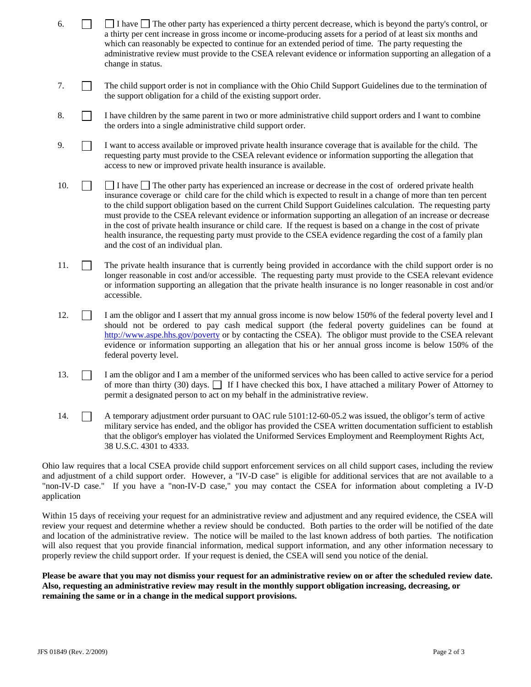- 6.  $\Box$  I have  $\Box$  The other party has experienced a thirty percent decrease, which is beyond the party's control, or a thirty per cent increase in gross income or income-producing assets for a period of at least six months and which can reasonably be expected to continue for an extended period of time. The party requesting the administrative review must provide to the CSEA relevant evidence or information supporting an allegation of a change in status.
- 7. The child support order is not in compliance with the Ohio Child Support Guidelines due to the termination of the support obligation for a child of the existing support order.
- 8. I have children by the same parent in two or more administrative child support orders and I want to combine the orders into a single administrative child support order.
- 9. I want to access available or improved private health insurance coverage that is available for the child. The requesting party must provide to the CSEA relevant evidence or information supporting the allegation that access to new or improved private health insurance is available.
- 10.  $\Box$  I have  $\Box$  The other party has experienced an increase or decrease in the cost of ordered private health insurance coverage or child care for the child which is expected to result in a change of more than ten percent to the child support obligation based on the current Child Support Guidelines calculation. The requesting party must provide to the CSEA relevant evidence or information supporting an allegation of an increase or decrease in the cost of private health insurance or child care. If the request is based on a change in the cost of private health insurance, the requesting party must provide to the CSEA evidence regarding the cost of a family plan and the cost of an individual plan.
- 11. The private health insurance that is currently being provided in accordance with the child support order is no longer reasonable in cost and/or accessible. The requesting party must provide to the CSEA relevant evidence or information supporting an allegation that the private health insurance is no longer reasonable in cost and/or accessible.
- 12. **I** am the obligor and I assert that my annual gross income is now below 150% of the federal poverty level and I should not be ordered to pay cash medical support (the federal poverty guidelines can be found at http://www.aspe.hhs.gov/poverty or by contacting the CSEA). The obligor must provide to the CSEA relevant evidence or information supporting an allegation that his or her annual gross income is below 150% of the federal poverty level.
- 13. I am the obligor and I am a member of the uniformed services who has been called to active service for a period of more than thirty (30) days.  $\Box$  If I have checked this box, I have attached a military Power of Attorney to permit a designated person to act on my behalf in the administrative review.
- 14. A temporary adjustment order pursuant to OAC rule 5101:12-60-05.2 was issued, the obligor's term of active military service has ended, and the obligor has provided the CSEA written documentation sufficient to establish that the obligor's employer has violated the Uniformed Services Employment and Reemployment Rights Act, 38 U.S.C. 4301 to 4333.

Ohio law requires that a local CSEA provide child support enforcement services on all child support cases, including the review and adjustment of a child support order. However, a "IV-D case" is eligible for additional services that are not available to a "non-IV-D case." If you have a "non-IV-D case," you may contact the CSEA for information about completing a IV-D application

Within 15 days of receiving your request for an administrative review and adjustment and any required evidence, the CSEA will review your request and determine whether a review should be conducted. Both parties to the order will be notified of the date and location of the administrative review. The notice will be mailed to the last known address of both parties. The notification will also request that you provide financial information, medical support information, and any other information necessary to properly review the child support order. If your request is denied, the CSEA will send you notice of the denial.

**Please be aware that you may not dismiss your request for an administrative review on or after the scheduled review date. Also, requesting an administrative review may result in the monthly support obligation increasing, decreasing, or remaining the same or in a change in the medical support provisions.**